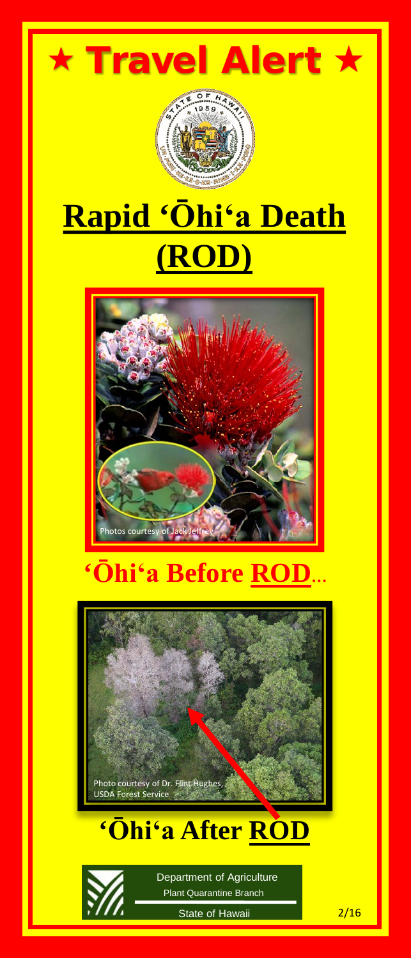



## **Rapid 'Ōhiʻa Death (ROD)**



## **'Ōhiʻa Before ROD…**



### **'Ōhiʻa After ROD**



Plant Quarantine Branch Department of Agriculture

State of Hawaii